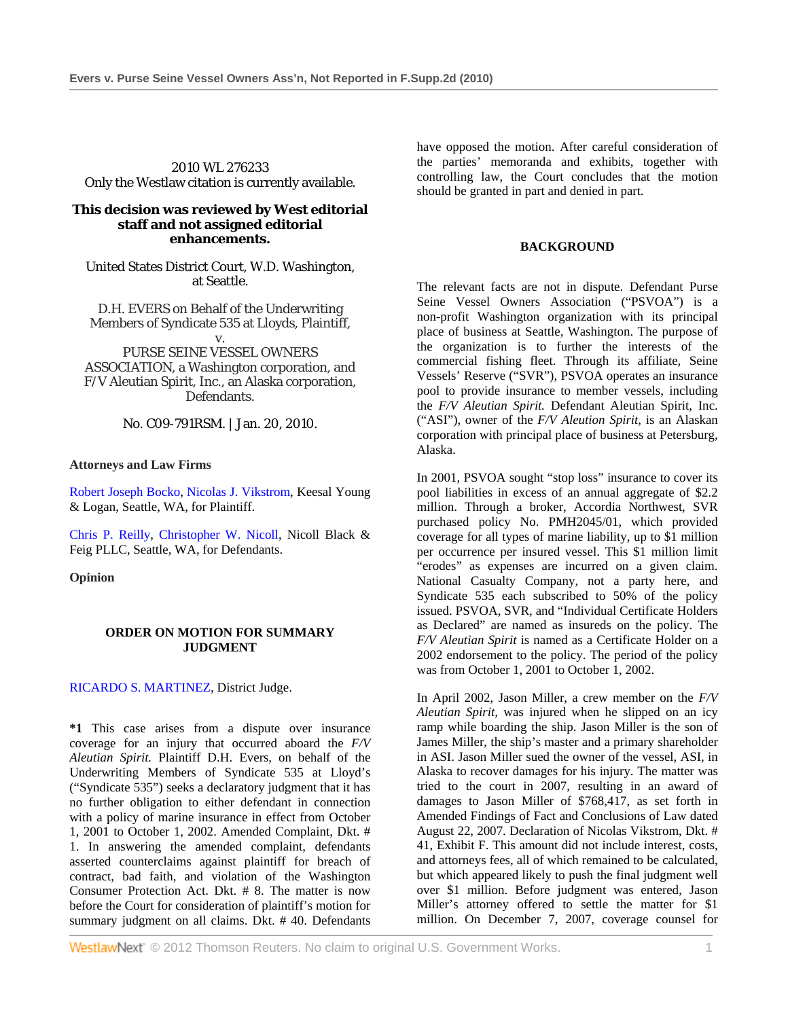2010 WL 276233 Only the Westlaw citation is currently available.

### **This decision was reviewed by West editorial staff and not assigned editorial enhancements.**

United States District Court, W.D. Washington, at Seattle.

D.H. EVERS on Behalf of the Underwriting Members of Syndicate 535 at Lloyds, Plaintiff,

v. PURSE SEINE VESSEL OWNERS ASSOCIATION, a Washington corporation, and F/V Aleutian Spirit, Inc., an Alaska corporation, Defendants.

No. C09-791RSM. | Jan. 20, 2010.

**Attorneys and Law Firms** 

Robert Joseph Bocko, Nicolas J. Vikstrom, Keesal Young & Logan, Seattle, WA, for Plaintiff.

Chris P. Reilly, Christopher W. Nicoll, Nicoll Black & Feig PLLC, Seattle, WA, for Defendants.

**Opinion** 

### **ORDER ON MOTION FOR SUMMARY JUDGMENT**

# RICARDO S. MARTINEZ, District Judge.

**\*1** This case arises from a dispute over insurance coverage for an injury that occurred aboard the *F/V Aleutian Spirit.* Plaintiff D.H. Evers, on behalf of the Underwriting Members of Syndicate 535 at Lloyd's ("Syndicate 535") seeks a declaratory judgment that it has no further obligation to either defendant in connection with a policy of marine insurance in effect from October 1, 2001 to October 1, 2002. Amended Complaint, Dkt. # 1. In answering the amended complaint, defendants asserted counterclaims against plaintiff for breach of contract, bad faith, and violation of the Washington Consumer Protection Act. Dkt. # 8. The matter is now before the Court for consideration of plaintiff's motion for summary judgment on all claims. Dkt. # 40. Defendants have opposed the motion. After careful consideration of the parties' memoranda and exhibits, together with controlling law, the Court concludes that the motion should be granted in part and denied in part.

### **BACKGROUND**

The relevant facts are not in dispute. Defendant Purse Seine Vessel Owners Association ("PSVOA") is a non-profit Washington organization with its principal place of business at Seattle, Washington. The purpose of the organization is to further the interests of the commercial fishing fleet. Through its affiliate, Seine Vessels' Reserve ("SVR"), PSVOA operates an insurance pool to provide insurance to member vessels, including the *F/V Aleutian Spirit.* Defendant Aleutian Spirit, Inc. ("ASI"), owner of the *F/V Aleution Spirit,* is an Alaskan corporation with principal place of business at Petersburg, Alaska.

In 2001, PSVOA sought "stop loss" insurance to cover its pool liabilities in excess of an annual aggregate of \$2.2 million. Through a broker, Accordia Northwest, SVR purchased policy No. PMH2045/01, which provided coverage for all types of marine liability, up to \$1 million per occurrence per insured vessel. This \$1 million limit "erodes" as expenses are incurred on a given claim. National Casualty Company, not a party here, and Syndicate 535 each subscribed to 50% of the policy issued. PSVOA, SVR, and "Individual Certificate Holders as Declared" are named as insureds on the policy. The *F/V Aleutian Spirit* is named as a Certificate Holder on a 2002 endorsement to the policy. The period of the policy was from October 1, 2001 to October 1, 2002.

In April 2002, Jason Miller, a crew member on the *F/V Aleutian Spirit,* was injured when he slipped on an icy ramp while boarding the ship. Jason Miller is the son of James Miller, the ship's master and a primary shareholder in ASI. Jason Miller sued the owner of the vessel, ASI, in Alaska to recover damages for his injury. The matter was tried to the court in 2007, resulting in an award of damages to Jason Miller of \$768,417, as set forth in Amended Findings of Fact and Conclusions of Law dated August 22, 2007. Declaration of Nicolas Vikstrom, Dkt. # 41, Exhibit F. This amount did not include interest, costs, and attorneys fees, all of which remained to be calculated, but which appeared likely to push the final judgment well over \$1 million. Before judgment was entered, Jason Miller's attorney offered to settle the matter for \$1 million. On December 7, 2007, coverage counsel for

**WestlawNext** © 2012 Thomson Reuters. No claim to original U.S. Government Works. 1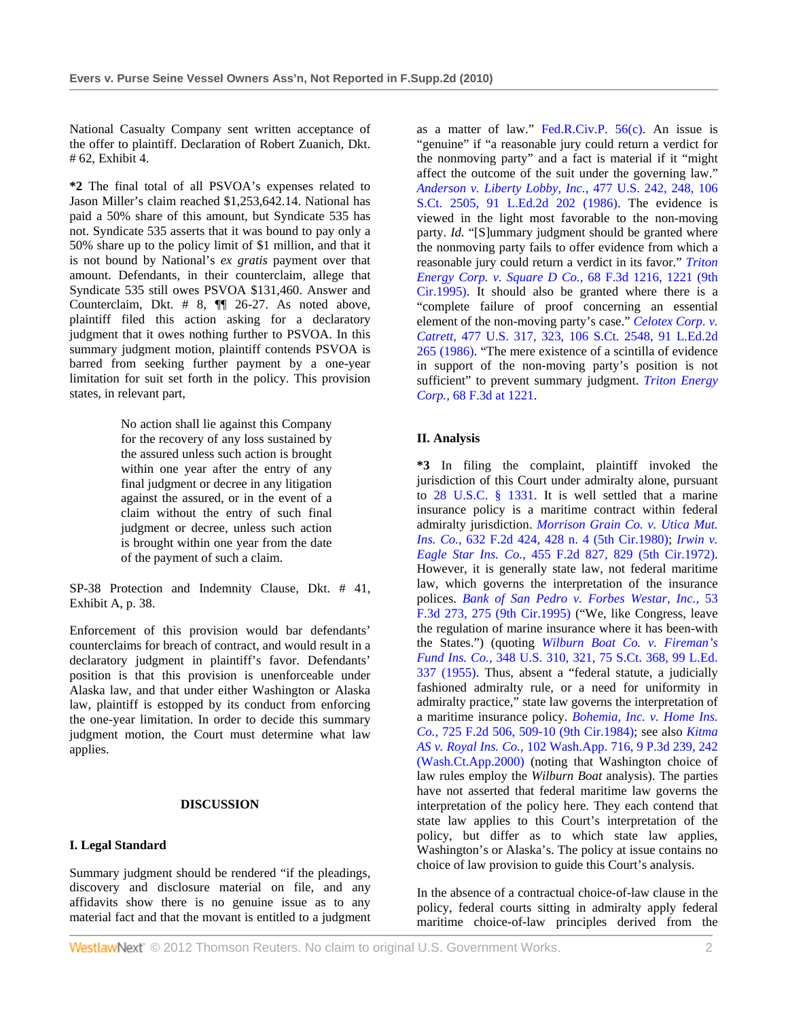National Casualty Company sent written acceptance of the offer to plaintiff. Declaration of Robert Zuanich, Dkt. # 62, Exhibit 4.

**\*2** The final total of all PSVOA's expenses related to Jason Miller's claim reached \$1,253,642.14. National has paid a 50% share of this amount, but Syndicate 535 has not. Syndicate 535 asserts that it was bound to pay only a 50% share up to the policy limit of \$1 million, and that it is not bound by National's *ex gratis* payment over that amount. Defendants, in their counterclaim, allege that Syndicate 535 still owes PSVOA \$131,460. Answer and Counterclaim, Dkt. # 8, ¶¶ 26-27. As noted above, plaintiff filed this action asking for a declaratory judgment that it owes nothing further to PSVOA. In this summary judgment motion, plaintiff contends PSVOA is barred from seeking further payment by a one-year limitation for suit set forth in the policy. This provision states, in relevant part,

> No action shall lie against this Company for the recovery of any loss sustained by the assured unless such action is brought within one year after the entry of any final judgment or decree in any litigation against the assured, or in the event of a claim without the entry of such final judgment or decree, unless such action is brought within one year from the date of the payment of such a claim.

SP-38 Protection and Indemnity Clause, Dkt. # 41, Exhibit A, p. 38.

Enforcement of this provision would bar defendants' counterclaims for breach of contract, and would result in a declaratory judgment in plaintiff's favor. Defendants' position is that this provision is unenforceable under Alaska law, and that under either Washington or Alaska law, plaintiff is estopped by its conduct from enforcing the one-year limitation. In order to decide this summary judgment motion, the Court must determine what law applies.

#### **DISCUSSION**

# **I. Legal Standard**

Summary judgment should be rendered "if the pleadings, discovery and disclosure material on file, and any affidavits show there is no genuine issue as to any material fact and that the movant is entitled to a judgment

as a matter of law." Fed.R.Civ.P. 56(c). An issue is "genuine" if "a reasonable jury could return a verdict for the nonmoving party" and a fact is material if it "might affect the outcome of the suit under the governing law." *Anderson v. Liberty Lobby, Inc.,* 477 U.S. 242, 248, 106 S.Ct. 2505, 91 L.Ed.2d 202 (1986). The evidence is viewed in the light most favorable to the non-moving party. *Id.* "[S]ummary judgment should be granted where the nonmoving party fails to offer evidence from which a reasonable jury could return a verdict in its favor." *Triton Energy Corp. v. Square D Co.,* 68 F.3d 1216, 1221 (9th Cir.1995). It should also be granted where there is a "complete failure of proof concerning an essential element of the non-moving party's case." *Celotex Corp. v. Catrett,* 477 U.S. 317, 323, 106 S.Ct. 2548, 91 L.Ed.2d 265 (1986). "The mere existence of a scintilla of evidence in support of the non-moving party's position is not sufficient" to prevent summary judgment. *Triton Energy Corp.,* 68 F.3d at 1221.

# **II. Analysis**

**\*3** In filing the complaint, plaintiff invoked the jurisdiction of this Court under admiralty alone, pursuant to 28 U.S.C. § 1331. It is well settled that a marine insurance policy is a maritime contract within federal admiralty jurisdiction. *Morrison Grain Co. v. Utica Mut. Ins. Co.,* 632 F.2d 424, 428 n. 4 (5th Cir.1980); *Irwin v. Eagle Star Ins. Co.,* 455 F.2d 827, 829 (5th Cir.1972). However, it is generally state law, not federal maritime law, which governs the interpretation of the insurance polices. *Bank of San Pedro v. Forbes Westar, Inc.,* 53 F.3d 273, 275 (9th Cir.1995) ("We, like Congress, leave the regulation of marine insurance where it has been-with the States.") (quoting *Wilburn Boat Co. v. Fireman's Fund Ins. Co.,* 348 U.S. 310, 321, 75 S.Ct. 368, 99 L.Ed. 337 (1955). Thus, absent a "federal statute, a judicially fashioned admiralty rule, or a need for uniformity in admiralty practice," state law governs the interpretation of a maritime insurance policy. *Bohemia, Inc. v. Home Ins. Co.,* 725 F.2d 506, 509-10 (9th Cir.1984); see also *Kitma AS v. Royal Ins. Co.,* 102 Wash.App. 716, 9 P.3d 239, 242 (Wash.Ct.App.2000) (noting that Washington choice of law rules employ the *Wilburn Boat* analysis). The parties have not asserted that federal maritime law governs the interpretation of the policy here. They each contend that state law applies to this Court's interpretation of the policy, but differ as to which state law applies, Washington's or Alaska's. The policy at issue contains no choice of law provision to guide this Court's analysis.

In the absence of a contractual choice-of-law clause in the policy, federal courts sitting in admiralty apply federal maritime choice-of-law principles derived from the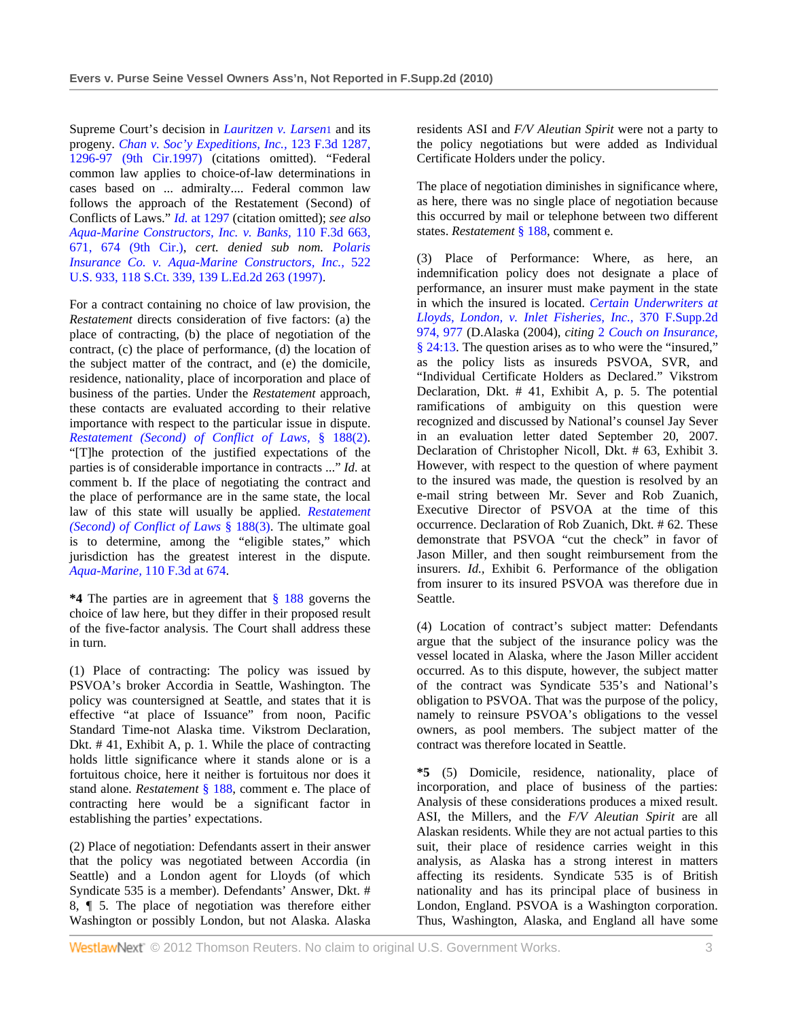Supreme Court's decision in *Lauritzen v. Larsen*1 and its progeny. *Chan v. Soc'y Expeditions, Inc.,* 123 F.3d 1287, 1296-97 (9th Cir.1997) (citations omitted). "Federal common law applies to choice-of-law determinations in cases based on ... admiralty.... Federal common law follows the approach of the Restatement (Second) of Conflicts of Laws." *Id.* at 1297 (citation omitted); *see also Aqua-Marine Constructors, Inc. v. Banks,* 110 F.3d 663, 671, 674 (9th Cir.), *cert. denied sub nom. Polaris Insurance Co. v. Aqua-Marine Constructors, Inc.,* 522 U.S. 933, 118 S.Ct. 339, 139 L.Ed.2d 263 (1997).

For a contract containing no choice of law provision, the *Restatement* directs consideration of five factors: (a) the place of contracting, (b) the place of negotiation of the contract, (c) the place of performance, (d) the location of the subject matter of the contract, and (e) the domicile, residence, nationality, place of incorporation and place of business of the parties. Under the *Restatement* approach, these contacts are evaluated according to their relative importance with respect to the particular issue in dispute. *Restatement (Second) of Conflict of Laws,* § 188(2). "[T]he protection of the justified expectations of the parties is of considerable importance in contracts ..." *Id.* at comment b. If the place of negotiating the contract and the place of performance are in the same state, the local law of this state will usually be applied. *Restatement (Second) of Conflict of Laws* § 188(3). The ultimate goal is to determine, among the "eligible states," which jurisdiction has the greatest interest in the dispute. *Aqua-Marine,* 110 F.3d at 674.

**\*4** The parties are in agreement that § 188 governs the choice of law here, but they differ in their proposed result of the five-factor analysis. The Court shall address these in turn.

(1) Place of contracting: The policy was issued by PSVOA's broker Accordia in Seattle, Washington. The policy was countersigned at Seattle, and states that it is effective "at place of Issuance" from noon, Pacific Standard Time-not Alaska time. Vikstrom Declaration, Dkt. # 41, Exhibit A, p. 1. While the place of contracting holds little significance where it stands alone or is a fortuitous choice, here it neither is fortuitous nor does it stand alone. *Restatement* § 188, comment e. The place of contracting here would be a significant factor in establishing the parties' expectations.

(2) Place of negotiation: Defendants assert in their answer that the policy was negotiated between Accordia (in Seattle) and a London agent for Lloyds (of which Syndicate 535 is a member). Defendants' Answer, Dkt. # 8, ¶ 5. The place of negotiation was therefore either Washington or possibly London, but not Alaska. Alaska residents ASI and *F/V Aleutian Spirit* were not a party to the policy negotiations but were added as Individual Certificate Holders under the policy.

The place of negotiation diminishes in significance where, as here, there was no single place of negotiation because this occurred by mail or telephone between two different states. *Restatement* § 188, comment e.

(3) Place of Performance: Where, as here, an indemnification policy does not designate a place of performance, an insurer must make payment in the state in which the insured is located. *Certain Underwriters at Lloyds, London, v. Inlet Fisheries, Inc.,* 370 F.Supp.2d 974, 977 (D.Alaska (2004), *citing* 2 *Couch on Insurance,* § 24:13. The question arises as to who were the "insured," as the policy lists as insureds PSVOA, SVR, and "Individual Certificate Holders as Declared." Vikstrom Declaration, Dkt. # 41, Exhibit A, p. 5. The potential ramifications of ambiguity on this question were recognized and discussed by National's counsel Jay Sever in an evaluation letter dated September 20, 2007. Declaration of Christopher Nicoll, Dkt. # 63, Exhibit 3. However, with respect to the question of where payment to the insured was made, the question is resolved by an e-mail string between Mr. Sever and Rob Zuanich, Executive Director of PSVOA at the time of this occurrence. Declaration of Rob Zuanich, Dkt. # 62. These demonstrate that PSVOA "cut the check" in favor of Jason Miller, and then sought reimbursement from the insurers. *Id.,* Exhibit 6. Performance of the obligation from insurer to its insured PSVOA was therefore due in Seattle.

(4) Location of contract's subject matter: Defendants argue that the subject of the insurance policy was the vessel located in Alaska, where the Jason Miller accident occurred. As to this dispute, however, the subject matter of the contract was Syndicate 535's and National's obligation to PSVOA. That was the purpose of the policy, namely to reinsure PSVOA's obligations to the vessel owners, as pool members. The subject matter of the contract was therefore located in Seattle.

**\*5** (5) Domicile, residence, nationality, place of incorporation, and place of business of the parties: Analysis of these considerations produces a mixed result. ASI, the Millers, and the *F/V Aleutian Spirit* are all Alaskan residents. While they are not actual parties to this suit, their place of residence carries weight in this analysis, as Alaska has a strong interest in matters affecting its residents. Syndicate 535 is of British nationality and has its principal place of business in London, England. PSVOA is a Washington corporation. Thus, Washington, Alaska, and England all have some